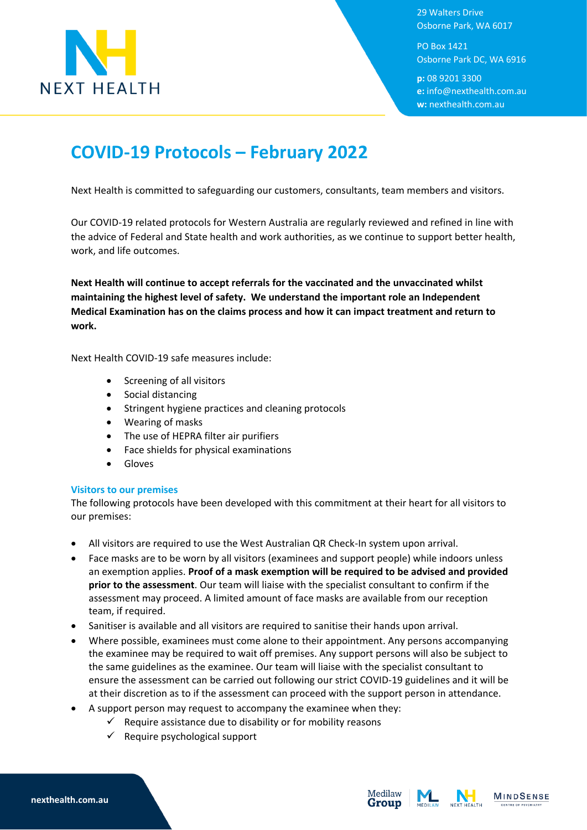

29 Walters Drive Osborne Park, WA 6017

PO Box 1421 Osborne Park DC, WA 6916

**p:** 08 9201 3300 **e:** info@nexthealth.com.au **w:** nexthealth.com.au

## **COVID-19 Protocols – February 2022**

Next Health is committed to safeguarding our customers, consultants, team members and visitors.

Our COVID-19 related protocols for Western Australia are regularly reviewed and refined in line with the advice of Federal and State health and work authorities, as we continue to support better health, work, and life outcomes.

**Next Health will continue to accept referrals for the vaccinated and the unvaccinated whilst maintaining the highest level of safety. We understand the important role an Independent Medical Examination has on the claims process and how it can impact treatment and return to work.**

Next Health COVID-19 safe measures include:

- Screening of all visitors
- Social distancing
- Stringent hygiene practices and cleaning protocols
- Wearing of masks
- The use of HEPRA filter air purifiers
- Face shields for physical examinations
- Gloves

## **Visitors to our premises**

The following protocols have been developed with this commitment at their heart for all visitors to our premises:

- All visitors are required to use the West Australian QR Check-In system upon arrival.
- Face masks are to be worn by all visitors (examinees and support people) while indoors unless an exemption applies. **Proof of a mask exemption will be required to be advised and provided prior to the assessment**. Our team will liaise with the specialist consultant to confirm if the assessment may proceed. A limited amount of face masks are available from our reception team, if required.
- Sanitiser is available and all visitors are required to sanitise their hands upon arrival.
- Where possible, examinees must come alone to their appointment. Any persons accompanying the examinee may be required to wait off premises. Any support persons will also be subject to the same guidelines as the examinee. Our team will liaise with the specialist consultant to ensure the assessment can be carried out following our strict COVID-19 guidelines and it will be at their discretion as to if the assessment can proceed with the support person in attendance.
- A support person may request to accompany the examinee when they:
	- Require assistance due to disability or for mobility reasons
		- Require psychological support